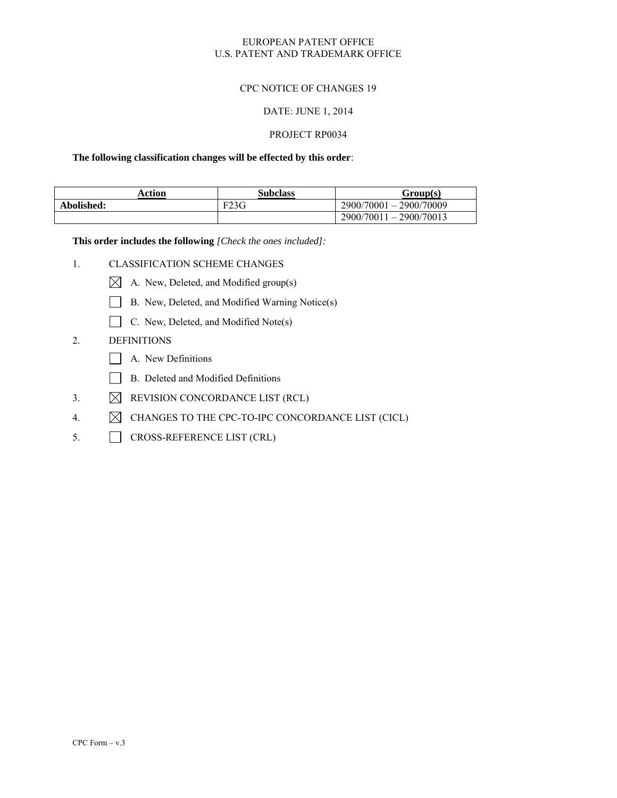### EUROPEAN PATENT OFFICE U.S. PATENT AND TRADEMARK OFFICE

### CPC NOTICE OF CHANGES 19

#### DATE: JUNE 1, 2014

#### PROJECT RP0034

#### **The following classification changes will be effected by this order**:

| Action     | <b>Subclass</b> | Group(s)                  |
|------------|-----------------|---------------------------|
| Abolished: | F23G            | 2900/70001 - 2900/70009   |
|            |                 | $2900/70011 - 2900/70013$ |

**This order includes the following** *[Check the ones included]:*

- 1. CLASSIFICATION SCHEME CHANGES
	- $\boxtimes$  A. New, Deleted, and Modified group(s)
	- B. New, Deleted, and Modified Warning Notice(s)
	- C. New, Deleted, and Modified Note(s)

## 2. DEFINITIONS

- A. New Definitions
- B. Deleted and Modified Definitions
- 3.  $\boxtimes$  REVISION CONCORDANCE LIST (RCL)
- 4.  $\boxtimes$  CHANGES TO THE CPC-TO-IPC CONCORDANCE LIST (CICL)
- 5. CROSS-REFERENCE LIST (CRL)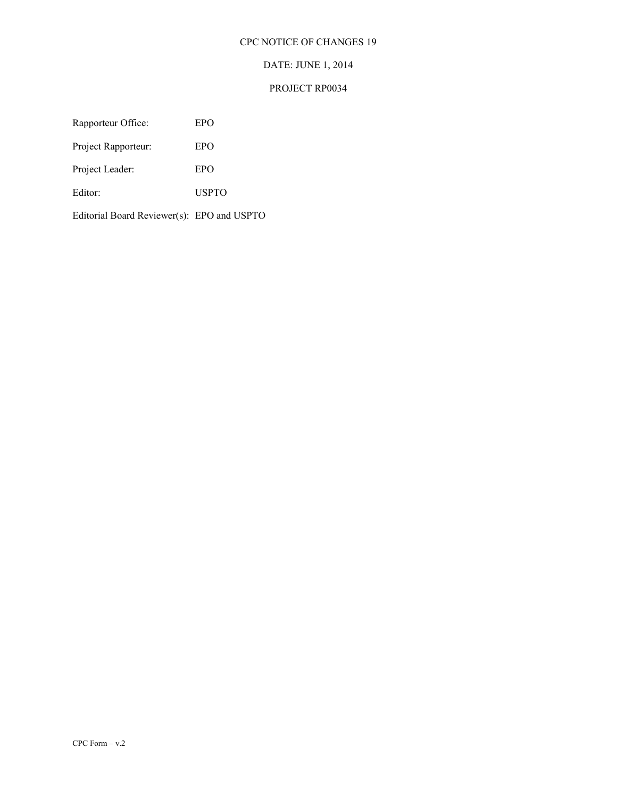## CPC NOTICE OF CHANGES 19

# DATE: JUNE 1, 2014

## PROJECT RP0034

Rapporteur Office: EPO

Project Rapporteur: EPO

Project Leader: EPO

Editor: USPTO

Editorial Board Reviewer(s): EPO and USPTO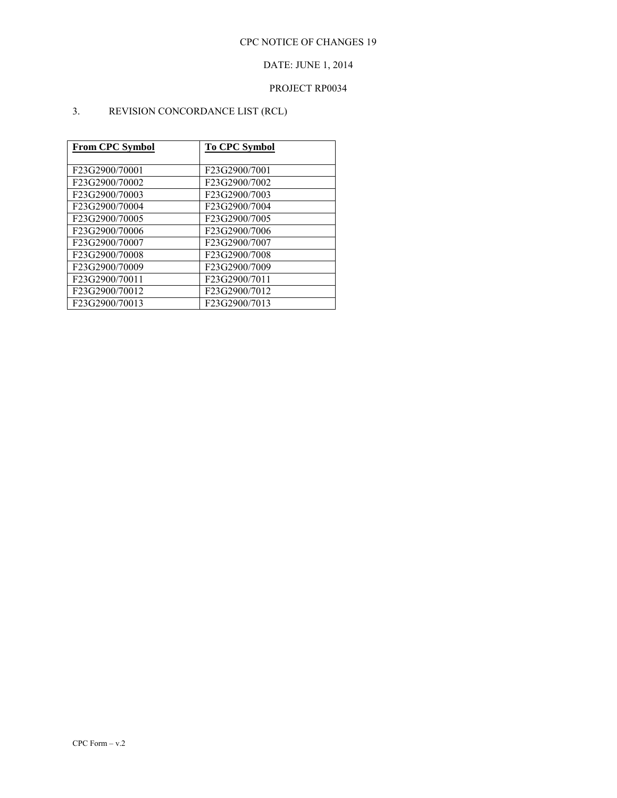# DATE: JUNE 1, 2014

# PROJECT RP0034

# 3. REVISION CONCORDANCE LIST (RCL)

| From CPC Symbol | <b>To CPC Symbol</b> |
|-----------------|----------------------|
|                 |                      |
| F23G2900/70001  | F23G2900/7001        |
| F23G2900/70002  | F23G2900/7002        |
| F23G2900/70003  | F23G2900/7003        |
| F23G2900/70004  | F23G2900/7004        |
| F23G2900/70005  | F23G2900/7005        |
| F23G2900/70006  | F23G2900/7006        |
| F23G2900/70007  | F23G2900/7007        |
| F23G2900/70008  | F23G2900/7008        |
| F23G2900/70009  | F23G2900/7009        |
| F23G2900/70011  | F23G2900/7011        |
| F23G2900/70012  | F23G2900/7012        |
| F23G2900/70013  | F23G2900/7013        |